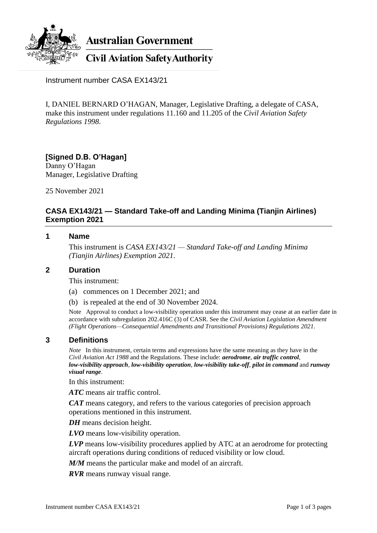

**Australian Government** 

# **Civil Aviation Safety Authority**

Instrument number CASA EX143/21

I, DANIEL BERNARD O'HAGAN, Manager, Legislative Drafting, a delegate of CASA, make this instrument under regulations 11.160 and 11.205 of the *Civil Aviation Safety Regulations 1998*.

# **[Signed D.B. O'Hagan]** Danny O'Hagan

Manager, Legislative Drafting

25 November 2021

# **CASA EX143/21 — Standard Take-off and Landing Minima (Tianjin Airlines) Exemption 2021**

#### **1 Name**

This instrument is *CASA EX143/21 — Standard Take-off and Landing Minima (Tianjin Airlines) Exemption 2021*.

#### **2 Duration**

This instrument:

- (a) commences on 1 December 2021; and
- (b) is repealed at the end of 30 November 2024.

Note Approval to conduct a low-visibility operation under this instrument may cease at an earlier date in accordance with subregulation 202.416C (3) of CASR. See the *Civil Aviation Legislation Amendment (Flight Operations—Consequential Amendments and Transitional Provisions) Regulations 2021*.

## **3 Definitions**

*Note* In this instrument, certain terms and expressions have the same meaning as they have in the *Civil Aviation Act 1988* and the Regulations. These include: *aerodrome*, *air traffic control*, *low-visibility approach*, *low-visibility operation*, *low-visibility take-off*, *pilot in command* and *runway visual range*.

In this instrument:

*ATC* means air traffic control.

*CAT* means category, and refers to the various categories of precision approach operations mentioned in this instrument.

*DH* means decision height.

*LVO* means low-visibility operation.

*LVP* means low-visibility procedures applied by ATC at an aerodrome for protecting aircraft operations during conditions of reduced visibility or low cloud.

*M/M* means the particular make and model of an aircraft.

*RVR* means runway visual range.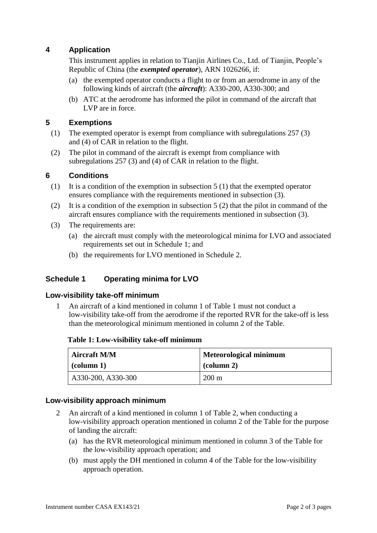# **4 Application**

This instrument applies in relation to Tianjin Airlines Co., Ltd. of Tianjin, People's Republic of China (the *exempted operator*), ARN 1026266, if:

- (a) the exempted operator conducts a flight to or from an aerodrome in any of the following kinds of aircraft (the *aircraft*): A330-200, A330-300; and
- (b) ATC at the aerodrome has informed the pilot in command of the aircraft that LVP are in force.

# **5 Exemptions**

- (1) The exempted operator is exempt from compliance with subregulations 257 (3) and (4) of CAR in relation to the flight.
- (2) The pilot in command of the aircraft is exempt from compliance with subregulations 257 (3) and (4) of CAR in relation to the flight.

#### **6 Conditions**

- (1) It is a condition of the exemption in subsection  $5(1)$  that the exempted operator ensures compliance with the requirements mentioned in subsection (3).
- (2) It is a condition of the exemption in subsection 5 (2) that the pilot in command of the aircraft ensures compliance with the requirements mentioned in subsection (3).
- (3) The requirements are:
	- (a) the aircraft must comply with the meteorological minima for LVO and associated requirements set out in Schedule 1; and
	- (b) the requirements for LVO mentioned in Schedule 2.

## **Schedule 1 Operating minima for LVO**

#### **Low-visibility take-off minimum**

1 An aircraft of a kind mentioned in column 1 of Table 1 must not conduct a low-visibility take-off from the aerodrome if the reported RVR for the take-off is less than the meteorological minimum mentioned in column 2 of the Table.

| Table 1: Low-visibility take-off minimum |  |
|------------------------------------------|--|
|------------------------------------------|--|

| <b>Aircraft M/M</b> | <b>Meteorological minimum</b> |
|---------------------|-------------------------------|
| $\vert$ (column 1)  | $\alpha$ (column 2)           |
| A330-200, A330-300  | $200 \text{ m}$               |

#### **Low-visibility approach minimum**

- 2 An aircraft of a kind mentioned in column 1 of Table 2, when conducting a low-visibility approach operation mentioned in column 2 of the Table for the purpose of landing the aircraft:
	- (a) has the RVR meteorological minimum mentioned in column 3 of the Table for the low-visibility approach operation; and
	- (b) must apply the DH mentioned in column 4 of the Table for the low-visibility approach operation.